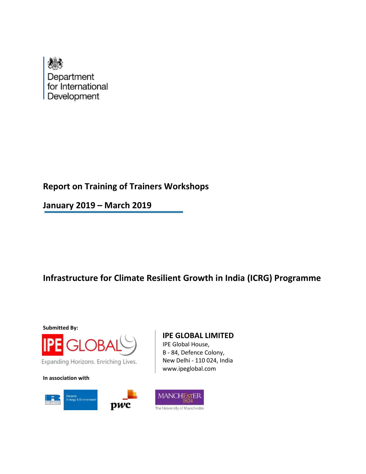

# **Report on Training of Trainers Workshops**

**January 2019 – March 2019**

# **Infrastructure for Climate Resilient Growth in India (ICRG) Programme**

**Submitted By:**



Expanding Horizons. Enriching Lives.

**In association with**





IPE Global House, B - 84, Defence Colony, New Delhi - 110 024, India www.ipeglobal.com

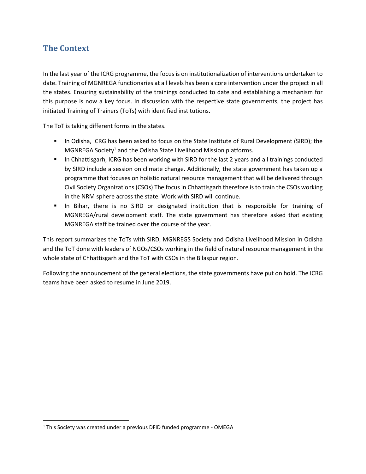# **The Context**

In the last year of the ICRG programme, the focus is on institutionalization of interventions undertaken to date. Training of MGNREGA functionaries at all levels has been a core intervention under the project in all the states. Ensuring sustainability of the trainings conducted to date and establishing a mechanism for this purpose is now a key focus. In discussion with the respective state governments, the project has initiated Training of Trainers (ToTs) with identified institutions.

The ToT is taking different forms in the states.

- In Odisha, ICRG has been asked to focus on the State Institute of Rural Development (SIRD); the MGNREGA Society<sup>1</sup> and the Odisha State Livelihood Mission platforms.
- In Chhattisgarh, ICRG has been working with SIRD for the last 2 years and all trainings conducted by SIRD include a session on climate change. Additionally, the state government has taken up a programme that focuses on holistic natural resource management that will be delivered through Civil Society Organizations (CSOs) The focus in Chhattisgarh therefore is to train the CSOs working in the NRM sphere across the state. Work with SIRD will continue.
- In Bihar, there is no SIRD or designated institution that is responsible for training of MGNREGA/rural development staff. The state government has therefore asked that existing MGNREGA staff be trained over the course of the year.

This report summarizes the ToTs with SIRD, MGNREGS Society and Odisha Livelihood Mission in Odisha and the ToT done with leaders of NGOs/CSOs working in the field of natural resource management in the whole state of Chhattisgarh and the ToT with CSOs in the Bilaspur region.

Following the announcement of the general elections, the state governments have put on hold. The ICRG teams have been asked to resume in June 2019.

 $\overline{\phantom{a}}$ 

<sup>&</sup>lt;sup>1</sup> This Society was created under a previous DFID funded programme - OMEGA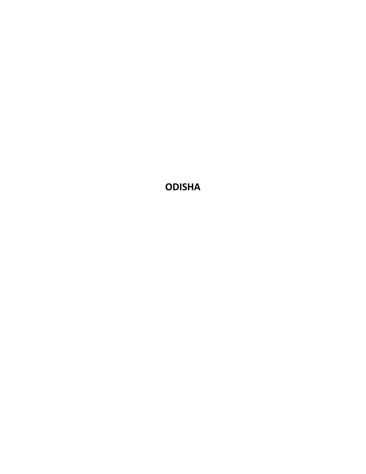**ODISHA**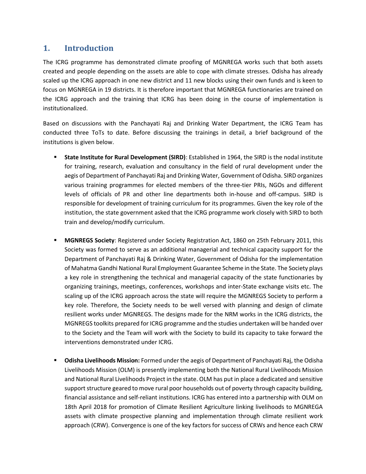## **1. Introduction**

The ICRG programme has demonstrated climate proofing of MGNREGA works such that both assets created and people depending on the assets are able to cope with climate stresses. Odisha has already scaled up the ICRG approach in one new district and 11 new blocks using their own funds and is keen to focus on MGNREGA in 19 districts. It is therefore important that MGNREGA functionaries are trained on the ICRG approach and the training that ICRG has been doing in the course of implementation is institutionalized.

Based on discussions with the Panchayati Raj and Drinking Water Department, the ICRG Team has conducted three ToTs to date. Before discussing the trainings in detail, a brief background of the institutions is given below.

- **State Institute for Rural Development (SIRD)**: Established in 1964, the SIRD is the nodal institute for training, research, evaluation and consultancy in the field of rural development under the aegis of Department of Panchayati Raj and Drinking Water, Government of Odisha. SIRD organizes various training programmes for elected members of the three-tier PRIs, NGOs and different levels of officials of PR and other line departments both in-house and off-campus. SIRD is responsible for development of training curriculum for its programmes. Given the key role of the institution, the state government asked that the ICRG programme work closely with SIRD to both train and develop/modify curriculum.
- **MGNREGS Society**: Registered under Society Registration Act, 1860 on 25th February 2011, this Society was formed to serve as an additional managerial and technical capacity support for the Department of Panchayati Raj & Drinking Water, Government of Odisha for the implementation of Mahatma Gandhi National Rural Employment Guarantee Scheme in the State. The Society plays a key role in strengthening the technical and managerial capacity of the state functionaries by organizing trainings, meetings, conferences, workshops and inter-State exchange visits etc. The scaling up of the ICRG approach across the state will require the MGNREGS Society to perform a key role. Therefore, the Society needs to be well versed with planning and design of climate resilient works under MGNREGS. The designs made for the NRM works in the ICRG districts, the MGNREGS toolkits prepared for ICRG programme and the studies undertaken will be handed over to the Society and the Team will work with the Society to build its capacity to take forward the interventions demonstrated under ICRG.
- **■** Odisha Livelihoods Mission: Formed under the aegis of Department of Panchayati Raj, the Odisha Livelihoods Mission (OLM) is presently implementing both the National Rural Livelihoods Mission and National Rural Livelihoods Project in the state. OLM has put in place a dedicated and sensitive support structure geared to move rural poor households out of poverty through capacity building, financial assistance and self-reliant institutions. ICRG has entered into a partnership with OLM on 18th April 2018 for promotion of Climate Resilient Agriculture linking livelihoods to MGNREGA assets with climate prospective planning and implementation through climate resilient work approach (CRW). Convergence is one of the key factors for success of CRWs and hence each CRW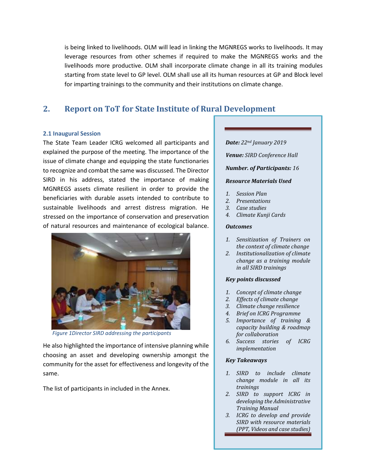is being linked to livelihoods. OLM will lead in linking the MGNREGS works to livelihoods. It may leverage resources from other schemes if required to make the MGNREGS works and the livelihoods more productive. OLM shall incorporate climate change in all its training modules starting from state level to GP level. OLM shall use all its human resources at GP and Block level for imparting trainings to the community and their institutions on climate change.

## **2. Report on ToT for State Institute of Rural Development**

### **2.1 Inaugural Session**

The State Team Leader ICRG welcomed all participants and explained the purpose of the meeting. The importance of the issue of climate change and equipping the state functionaries to recognize and combat the same was discussed. The Director SIRD in his address, stated the importance of making MGNREGS assets climate resilient in order to provide the beneficiaries with durable assets intended to contribute to sustainable livelihoods and arrest distress migration. He stressed on the importance of conservation and preservation of natural resources and maintenance of ecological balance.



*Figure 1Director SIRD addressing the participants*

He also highlighted the importance of intensive planning while choosing an asset and developing ownership amongst the community for the asset for effectiveness and longevity of the same.

The list of participants in included in the Annex.

### *Date: 22nd January 2019*

*Venue: SIRD Conference Hall*

### *Number. of Participants: 16*

### *Resource Materials Used*

- *1. Session Plan*
- *2. Presentations*
- *3. Case studies*
- *4. Climate Kunji Cards*

#### *Outcomes*

- *1. Sensitization of Trainers on the context of climate change*
- *2. Institutionalization of climate change as a training module in all SIRD trainings*

### *Key points discussed*

- *1. Concept of climate change*
- *2. Effects of climate change*
- *3. Climate change resilience*
- *4. Brief on ICRG Programme*
- *5. Importance of training & capacity building & roadmap for collaboration*
- *6. Success stories of ICRG implementation*

### *Key Takeaways*

- *1. SIRD to include climate change module in all its trainings*
- *2. SIRD to support ICRG in developing the Administrative Training Manual*
- *3. ICRG to develop and provide SIRD with resource materials (PPT, Videos and case studies)*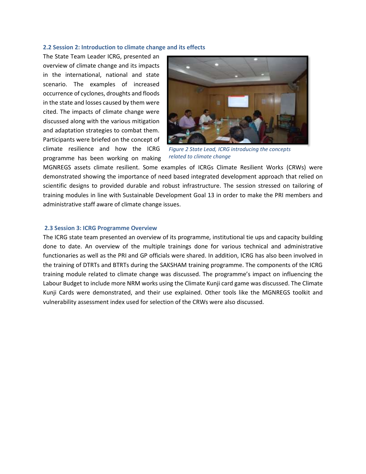#### **2.2 Session 2: Introduction to climate change and its effects**

The State Team Leader ICRG, presented an overview of climate change and its impacts in the international, national and state scenario. The examples of increased occurrence of cyclones, droughts and floods in the state and losses caused by them were cited. The impacts of climate change were discussed along with the various mitigation and adaptation strategies to combat them. Participants were briefed on the concept of climate resilience and how the ICRG programme has been working on making



*Figure 2 State Lead, ICRG introducing the concepts related to climate change*

MGNREGS assets climate resilient. Some examples of ICRGs Climate Resilient Works (CRWs) were demonstrated showing the importance of need based integrated development approach that relied on scientific designs to provided durable and robust infrastructure. The session stressed on tailoring of training modules in line with Sustainable Development Goal 13 in order to make the PRI members and administrative staff aware of climate change issues.

#### **2.3 Session 3: ICRG Programme Overview**

The ICRG state team presented an overview of its programme, institutional tie ups and capacity building done to date. An overview of the multiple trainings done for various technical and administrative functionaries as well as the PRI and GP officials were shared. In addition, ICRG has also been involved in the training of DTRTs and BTRTs during the SAKSHAM training programme. The components of the ICRG training module related to climate change was discussed. The programme's impact on influencing the Labour Budget to include more NRM works using the Climate Kunji card game was discussed. The Climate Kunji Cards were demonstrated, and their use explained. Other tools like the MGNREGS toolkit and vulnerability assessment index used for selection of the CRWs were also discussed.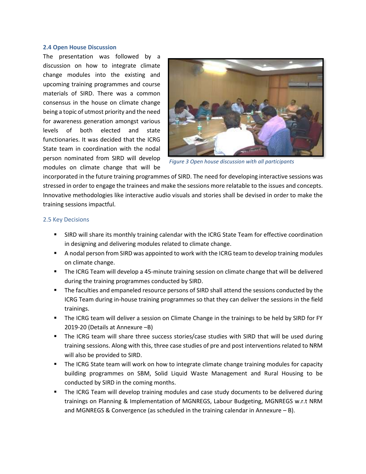#### **2.4 Open House Discussion**

The presentation was followed by a discussion on how to integrate climate change modules into the existing and upcoming training programmes and course materials of SIRD. There was a common consensus in the house on climate change being a topic of utmost priority and the need for awareness generation amongst various levels of both elected and state functionaries. It was decided that the ICRG State team in coordination with the nodal person nominated from SIRD will develop modules on climate change that will be



*Figure 3 Open house discussion with all participants*

incorporated in the future training programmes of SIRD. The need for developing interactive sessions was stressed in order to engage the trainees and make the sessions more relatable to the issues and concepts. Innovative methodologies like interactive audio visuals and stories shall be devised in order to make the training sessions impactful.

#### 2.5 Key Decisions

- **SIRD will share its monthly training calendar with the ICRG State Team for effective coordination** in designing and delivering modules related to climate change.
- A nodal person from SIRD was appointed to work with the ICRG team to develop training modules on climate change.
- The ICRG Team will develop a 45-minute training session on climate change that will be delivered during the training programmes conducted by SIRD.
- **•** The faculties and empaneled resource persons of SIRD shall attend the sessions conducted by the ICRG Team during in-house training programmes so that they can deliver the sessions in the field trainings.
- The ICRG team will deliver a session on Climate Change in the trainings to be held by SIRD for FY 2019-20 (Details at Annexure –B)
- The ICRG team will share three success stories/case studies with SIRD that will be used during training sessions. Along with this, three case studies of pre and post interventions related to NRM will also be provided to SIRD.
- The ICRG State team will work on how to integrate climate change training modules for capacity building programmes on SBM, Solid Liquid Waste Management and Rural Housing to be conducted by SIRD in the coming months.
- The ICRG Team will develop training modules and case study documents to be delivered during trainings on Planning & Implementation of MGNREGS, Labour Budgeting, MGNREGS w.r.t NRM and MGNREGS & Convergence (as scheduled in the training calendar in Annexure  $- B$ ).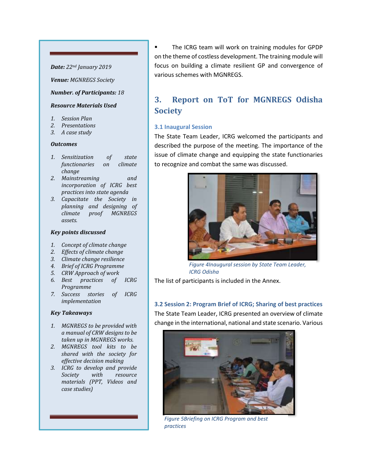### *Date: 22nd January 2019*

*Venue: MGNREGS Society*

#### *Number. of Participants: 18*

#### *Resource Materials Used*

- *1. Session Plan*
- *2. Presentations*
- *3. A case study*

#### *Outcomes*

- *1. Sensitization of state functionaries on climate change*
- *2. Mainstreaming and incorporation of ICRG best practices into state agenda*
- *3. Capacitate the Society in planning and designing of climate proof MGNREGS assets.*

#### *Key points discussed*

- *1. Concept of climate change*
- *2. Effects of climate change*
- *3. Climate change resilience*
- *4. Brief of ICRG Programme*
- *5. CRW Approach of work*
- *6. Best practices of ICRG Programme*
- *7. Success stories of ICRG implementation*

### *Key Takeaways*

- *1. MGNREGS to be provided with a manual of CRW designs to be taken up in MGNREGS works.*
- *2. MGNREGS tool kits to be shared with the society for effective decision making*
- *3. ICRG to develop and provide Society with resource materials (PPT, Videos and case studies)*

The ICRG team will work on training modules for GPDP on the theme of costless development. The training module will focus on building a climate resilient GP and convergence of various schemes with MGNREGS.

# **3. Report on ToT for MGNREGS Odisha Society**

### **3.1 Inaugural Session**

The State Team Leader, ICRG welcomed the participants and described the purpose of the meeting. The importance of the issue of climate change and equipping the state functionaries to recognize and combat the same was discussed.



*Figure 4Inaugural session by State Team Leader, ICRG Odisha*

The list of participants is included in the Annex.

**3.2 Session 2: Program Brief of ICRG; Sharing of best practices** The State Team Leader, ICRG presented an overview of climate change in the international, national and state scenario. Various



*Figure 5Briefing on ICRG Program and best practices*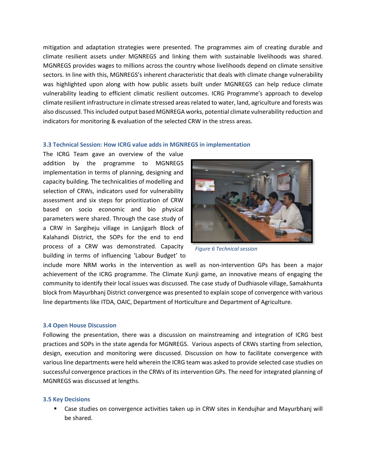mitigation and adaptation strategies were presented. The programmes aim of creating durable and climate resilient assets under MGNREGS and linking them with sustainable livelihoods was shared. MGNREGS provides wages to millions across the country whose livelihoods depend on climate sensitive sectors. In line with this, MGNREGS's inherent characteristic that deals with climate change vulnerability was highlighted upon along with how public assets built under MGNREGS can help reduce climate vulnerability leading to efficient climatic resilient outcomes. ICRG Programme's approach to develop climate resilient infrastructure in climate stressed areas related to water, land, agriculture and forests was also discussed. This included output based MGNREGA works, potential climate vulnerability reduction and indicators for monitoring & evaluation of the selected CRW in the stress areas.

#### **3.3 Technical Session: How ICRG value adds in MGNREGS in implementation**

The ICRG Team gave an overview of the value addition by the programme to MGNREGS implementation in terms of planning, designing and capacity building. The technicalities of modelling and selection of CRWs, indicators used for vulnerability assessment and six steps for prioritization of CRW based on socio economic and bio physical parameters were shared. Through the case study of a CRW in Sargiheju village in Lanjigarh Block of Kalahandi District, the SOPs for the end to end process of a CRW was demonstrated. Capacity building in terms of influencing 'Labour Budget' to



*Figure 6 Technical session*

include more NRM works in the intervention as well as non-intervention GPs has been a major achievement of the ICRG programme. The Climate Kunji game, an innovative means of engaging the community to identify their local issues was discussed. The case study of Dudhiasole village, Samakhunta block from Mayurbhanj District convergence was presented to explain scope of convergence with various line departments like ITDA, OAIC, Department of Horticulture and Department of Agriculture.

#### **3.4 Open House Discussion**

Following the presentation, there was a discussion on mainstreaming and integration of ICRG best practices and SOPs in the state agenda for MGNREGS. Various aspects of CRWs starting from selection, design, execution and monitoring were discussed. Discussion on how to facilitate convergence with various line departments were held wherein the ICRG team was asked to provide selected case studies on successful convergence practices in the CRWs of its intervention GPs. The need for integrated planning of MGNREGS was discussed at lengths.

#### **3.5 Key Decisions**

▪ Case studies on convergence activities taken up in CRW sites in Kendujhar and Mayurbhanj will be shared.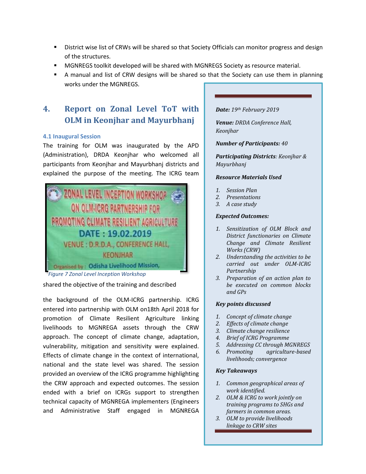- **EXECUTE:** District wise list of CRWs will be shared so that Society Officials can monitor progress and design of the structures.
- MGNREGS toolkit developed will be shared with MGNREGS Society as resource material.
- A manual and list of CRW designs will be shared so that the Society can use them in planning works under the MGNREGS.

# **4. Report on Zonal Level ToT with OLM in Keonjhar and Mayurbhanj**

### **4.1 Inaugural Session**

The training for OLM was inaugurated by the APD (Administration), DRDA Keonjhar who welcomed all participants from Keonjhar and Mayurbhanj districts and explained the purpose of the meeting. The ICRG team



shared the objective of the training and described

the background of the OLM-ICRG partnership. ICRG entered into partnership with OLM on18th April 2018 for promotion of Climate Resilient Agriculture linking livelihoods to MGNREGA assets through the CRW approach. The concept of climate change, adaptation, vulnerability, mitigation and sensitivity were explained. Effects of climate change in the context of international, national and the state level was shared. The session provided an overview of the ICRG programme highlighting the CRW approach and expected outcomes. The session ended with a brief on ICRGs support to strengthen technical capacity of MGNREGA implementers (Engineers and Administrative Staff engaged in MGNREGA

#### *Date: 19th February 2019*

*Venue: DRDA Conference Hall, Keonjhar*

*Number of Participants: 40*

*Participating Districts: Keonjhar & Mayurbhanj*

### *Resource Materials Used*

- *1. Session Plan*
- *2. Presentations*
- *3. A case study*

#### *Expected Outcomes:*

- *1. Sensitization of OLM Block and District functionaries on Climate Change and Climate Resilient Works (CRW)*
- *2. Understanding the activities to be carried out under OLM-ICRG Partnership*
- *3. Preparation of an action plan to be executed on common blocks and GPs*

### *Key points discussed*

- *1. Concept of climate change*
- *2. Effects of climate change*
- *3. Climate change resilience*
- *4. Brief of ICRG Programme*
- *5. Addressing CC through MGNREGS*
- *6. Promoting agriculture-based livelihoods; convergence*

#### *Key Takeaways*

- *1. Common geographical areas of work identified.*
- *2. OLM & ICRG to work jointly on training programs to SHGs and farmers in common areas.*
- *3. OLM to provide livelihoods linkage to CRW sites*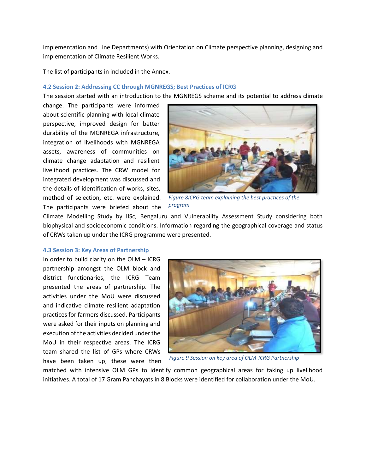implementation and Line Departments) with Orientation on Climate perspective planning, designing and implementation of Climate Resilient Works.

The list of participants in included in the Annex.

#### **4.2 Session 2: Addressing CC through MGNREGS; Best Practices of ICRG**

The session started with an introduction to the MGNREGS scheme and its potential to address climate

change. The participants were informed about scientific planning with local climate perspective, improved design for better durability of the MGNREGA infrastructure, integration of livelihoods with MGNREGA assets, awareness of communities on climate change adaptation and resilient livelihood practices. The CRW model for integrated development was discussed and the details of identification of works, sites, method of selection, etc. were explained. The participants were briefed about the



*Figure 8ICRG team explaining the best practices of the program*

Climate Modelling Study by IISc, Bengaluru and Vulnerability Assessment Study considering both biophysical and socioeconomic conditions. Information regarding the geographical coverage and status of CRWs taken up under the ICRG programme were presented.

#### **4.3 Session 3: Key Areas of Partnership**

In order to build clarity on the OLM – ICRG partnership amongst the OLM block and district functionaries, the ICRG Team presented the areas of partnership. The activities under the MoU were discussed and indicative climate resilient adaptation practices for farmers discussed. Participants were asked for their inputs on planning and execution of the activities decided under the MoU in their respective areas. The ICRG team shared the list of GPs where CRWs have been taken up; these were then



*Figure 9 Session on key area of OLM-ICRG Partnership*

matched with intensive OLM GPs to identify common geographical areas for taking up livelihood initiatives. A total of 17 Gram Panchayats in 8 Blocks were identified for collaboration under the MoU.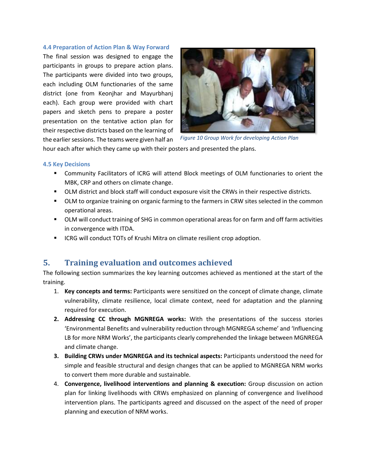#### **4.4 Preparation of Action Plan & Way Forward**

The final session was designed to engage the participants in groups to prepare action plans. The participants were divided into two groups, each including OLM functionaries of the same district (one from Keonjhar and Mayurbhanj each). Each group were provided with chart papers and sketch pens to prepare a poster presentation on the tentative action plan for their respective districts based on the learning of the earlier sessions. The teams were given half an



*Figure 10 Group Work for developing Action Plan*

hour each after which they came up with their posters and presented the plans.

### **4.5 Key Decisions**

- Community Facilitators of ICRG will attend Block meetings of OLM functionaries to orient the MBK, CRP and others on climate change.
- OLM district and block staff will conduct exposure visit the CRWs in their respective districts.
- OLM to organize training on organic farming to the farmers in CRW sites selected in the common operational areas.
- OLM will conduct training of SHG in common operational areas for on farm and off farm activities in convergence with ITDA.
- ICRG will conduct TOTs of Krushi Mitra on climate resilient crop adoption.

## **5. Training evaluation and outcomes achieved**

The following section summarizes the key learning outcomes achieved as mentioned at the start of the training.

- 1. **Key concepts and terms:** Participants were sensitized on the concept of climate change, climate vulnerability, climate resilience, local climate context, need for adaptation and the planning required for execution.
- **2. Addressing CC through MGNREGA works:** With the presentations of the success stories 'Environmental Benefits and vulnerability reduction through MGNREGA scheme' and 'Influencing LB for more NRM Works', the participants clearly comprehended the linkage between MGNREGA and climate change.
- **3. Building CRWs under MGNREGA and its technical aspects:** Participants understood the need for simple and feasible structural and design changes that can be applied to MGNREGA NRM works to convert them more durable and sustainable.
- 4. **Convergence, livelihood interventions and planning & execution:** Group discussion on action plan for linking livelihoods with CRWs emphasized on planning of convergence and livelihood intervention plans. The participants agreed and discussed on the aspect of the need of proper planning and execution of NRM works.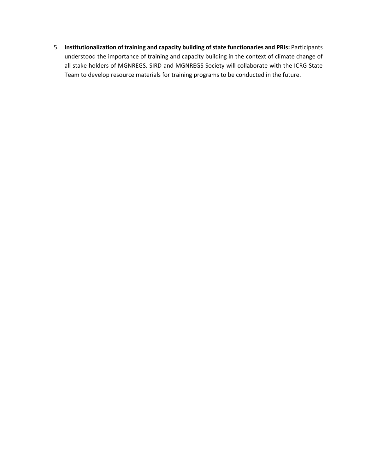5. **Institutionalization of training and capacity building of state functionaries and PRIs:** Participants understood the importance of training and capacity building in the context of climate change of all stake holders of MGNREGS. SIRD and MGNREGS Society will collaborate with the ICRG State Team to develop resource materials for training programs to be conducted in the future.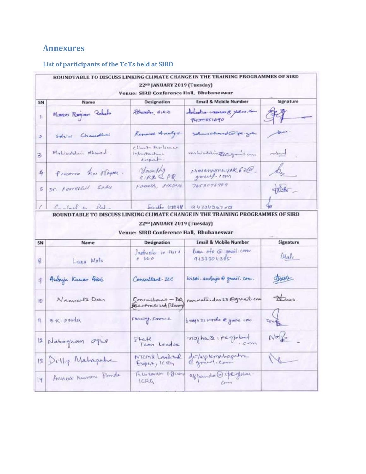# **Annexures**

### **List of participants of the ToTs held at SIRD**

|                         |                      | 22 <sup>ND</sup> JANUARY 2019 (Tuesday)<br>Venue: SIRD Conference Hall, Bhubaneswar |                                          |           |
|-------------------------|----------------------|-------------------------------------------------------------------------------------|------------------------------------------|-----------|
| SN                      | Name                 | <b>Designation</b>                                                                  | <b>Email &amp; Mobile Number</b>         | Signature |
|                         | Menss Regien Zobelo  | Finachor CIRZO                                                                      | detector mons & yokes, com<br>9439551690 |           |
| a.                      | Solvini Chaudlini    | Remarch Analys                                                                      | Solimachand@ipe.gov                      | خشعطر     |
| $\overline{\mathbf{z}}$ | Mohindatum Ahmed.    | climbe heritimas<br>infrantmilmar<br>enpert.                                        | miliadeline con-lam                      | medium    |
| $I_4$                   | PARCOMING SEN Mayon. | Jourshy<br>SIRA 2 PR                                                                | proxamponayak 63@                        |           |
| 5                       | Dr. Parizolar sabu   | Fourth, strong                                                                      | 7653076989                               | 256       |
|                         | 1 Contail on Dal     |                                                                                     |                                          |           |

### 22ND JANUARY 2019 (Tuesday) Venue: SIRD Conference Hall, Bhubaneswar

| SN  | Name                                     | Designation                                 | Email & Mobile Number              | Signature  |
|-----|------------------------------------------|---------------------------------------------|------------------------------------|------------|
| ğ   | Lena Mala                                | Jacquester in the A<br>$B$ $DD$ $O$         | luna off @ gmail com<br>9437304385 | Male       |
|     | Andreje Kumar Brisa                      | Commitant-IEC                               | bisoi ambujo @ gmail.com.          | train      |
| IO. | Nanneats Dan                             | Concultorat - DA<br>Recurrences 2nd Plannig | renveaterdas 23 Ognail com         | $\Delta$   |
|     | $\mathbb{I}$ $\mathbb{B}$ $\kappa$ panda | Foculy, Forence                             | braga 22 pards & gmont com         | Bonk       |
|     | 12 Nabagnom opie                         | State<br>Tem Leader                         | nojha@1peglobal                    | $N_F(B)$   |
|     | 13 Delly Mahapatra                       | NRMR Loveline                               | dellephonihapetre                  | $\sqrt{1}$ |
| 14  | ANNEST Kunson Ponda                      | Abstarium Officers<br>ICAG                  | appardo @ ife your.                |            |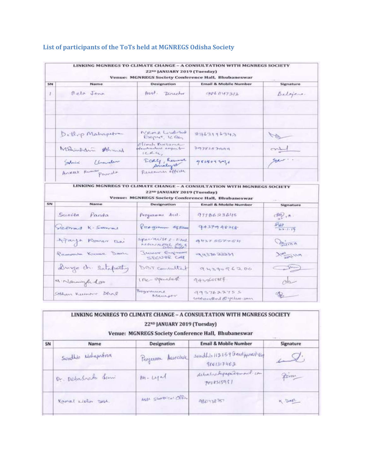|    |                         | 22 <sup>ND</sup> JANUARY 2019 (Tuesday)            | LINKING MGNREGS TO CLIMATE CHANGE - A CONSULTATION WITH MGNREGS SOCIETY<br>Venue: MGNREGS Society Conference Hall, Bhubaneswar |                              |
|----|-------------------------|----------------------------------------------------|--------------------------------------------------------------------------------------------------------------------------------|------------------------------|
| SN | Name                    | Designation                                        | Email & Mobile Number                                                                                                          | Signature                    |
| x  | <i><u>Gela Jena</u></i> | Ast. Director                                      | 9861147312                                                                                                                     | Belgiers.                    |
|    |                         |                                                    |                                                                                                                                |                              |
|    | Dellep Mahapetra        | Newer e Condetud<br>ENGINE IC TOL                  | 8763196390                                                                                                                     | $\rightarrow$                |
|    | Mohimedia Almed         | Climate Frankersk<br>Heusteinburg expective<br>REU | 792282004                                                                                                                      | marin                        |
|    | Solvini Charolet        | Eckle Lume                                         | 7828093036                                                                                                                     | me .                         |
|    | Annex Remar Parado      | Research officer                                   |                                                                                                                                |                              |
|    |                         | 22ND JANUARY 2019 (Tuesday)                        | LINKING MGNREGS TO CLIMATE CHANGE - A CONSULTATION WITH MGNREGS SOCIETY<br>Venue: MGNREGS Society Conference Hall, Bhubaneswar |                              |
| ŚN | Name                    | Designation                                        | <b>Email &amp; Mobile Number</b>                                                                                               | Signature                    |
|    | Sunita Panda            | Programme Acol-                                    | 9118623645                                                                                                                     | $\frac{1}{2}$                |
|    | SEEMAN K- Serval        | Pres gram expans                                   | 9437948218                                                                                                                     | $rac{P_{10}}{P_{12}+P_{11}}$ |
|    | Ataya Roman Bai         | Specialist & - Filed<br>MEGINERATORS, PR. 5        | ウリスア かんアナダリ                                                                                                                    | Desiro                       |
|    | Prosperta Krimse Dania  | <b><i>Stevense Engineer</i></b><br>SECURE CAR      | $-9.835331$                                                                                                                    | June 110                     |
|    | Durge ch. Satapotty     | DBT committed                                      | 9437096200                                                                                                                     | $\longrightarrow$            |
|    | a Namyle don            | IAC-operative                                      | 9439648817                                                                                                                     | $_{ch}$                      |
|    | Sophan Keiner Dhal      | Theyround<br>Manager                               | $-27622252$<br>cobeyourlead @ yellow ann                                                                                       | P                            |

### **List of participants of the ToTs held at MGNREGS Odisha Society**

## LINKING MGNREGS TO CLIMATE CHANGE - A CONSULTATION WITH MGNREGS SOCIETY 22ND JANUARY 2019 (Tuesday)

### Venue: MGNREGS Society Conference Hall, Bhubaneswar

| SN | Name               | <b>Designation</b>  | <b>Email &amp; Mobile Number</b>              | Signature |
|----|--------------------|---------------------|-----------------------------------------------|-----------|
|    | Swadhin Mohapatra  | Pregramm Associale  | swadhin 112359 Gredipponell-com<br>9861317462 |           |
|    | Dr. Debasneta Sami | $P_{M}$ - Legal     | debasne bepapudgmoul com<br>7008515951        | from      |
|    | Kamal Lieber Debt. | ASSE SLATFON OFFICE | <b>PIECHINE PST</b>                           | K DAT     |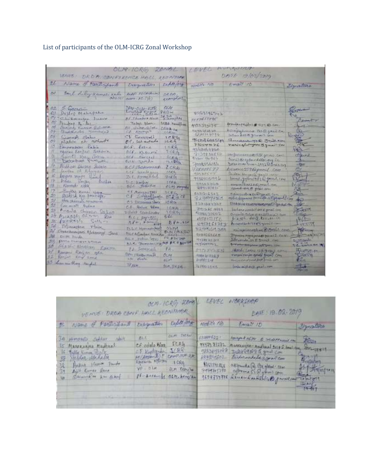# List of participants of the OLM-ICRG Zonal Workshop

| OLIG-IORG ZONAL<br>VENUS : DRO A CONFERENCE HALL, RECORDO                                                                                                                                                                                                                                                                                                                                                                                                                                                                                                                                                                                                                                                                                                            |                                                                                                                                                                                                                                                                                                                                                                                                                                                                                                                                                                                          |                                                                                                                                                                                                                                                                                                                                                                                               | 1 F V C                                                                                                                                                                                                                                                                                                                                                                                                                                                                                              | MUMMERER<br>DATE 19/02/2019                                                                                                                                                                                                                                                                                                                                                                                                                                                                                                                                                                                                                                                                                                                                                                                                                                                                             |                                                                                                                                                                                                                                                                                                                                                                                                                                                                                                                                                                                    |
|----------------------------------------------------------------------------------------------------------------------------------------------------------------------------------------------------------------------------------------------------------------------------------------------------------------------------------------------------------------------------------------------------------------------------------------------------------------------------------------------------------------------------------------------------------------------------------------------------------------------------------------------------------------------------------------------------------------------------------------------------------------------|------------------------------------------------------------------------------------------------------------------------------------------------------------------------------------------------------------------------------------------------------------------------------------------------------------------------------------------------------------------------------------------------------------------------------------------------------------------------------------------------------------------------------------------------------------------------------------------|-----------------------------------------------------------------------------------------------------------------------------------------------------------------------------------------------------------------------------------------------------------------------------------------------------------------------------------------------------------------------------------------------|------------------------------------------------------------------------------------------------------------------------------------------------------------------------------------------------------------------------------------------------------------------------------------------------------------------------------------------------------------------------------------------------------------------------------------------------------------------------------------------------------|---------------------------------------------------------------------------------------------------------------------------------------------------------------------------------------------------------------------------------------------------------------------------------------------------------------------------------------------------------------------------------------------------------------------------------------------------------------------------------------------------------------------------------------------------------------------------------------------------------------------------------------------------------------------------------------------------------------------------------------------------------------------------------------------------------------------------------------------------------------------------------------------------------|------------------------------------------------------------------------------------------------------------------------------------------------------------------------------------------------------------------------------------------------------------------------------------------------------------------------------------------------------------------------------------------------------------------------------------------------------------------------------------------------------------------------------------------------------------------------------------|
| 26 Name of Factbookenb                                                                                                                                                                                                                                                                                                                                                                                                                                                                                                                                                                                                                                                                                                                                               | <b>Designation</b>                                                                                                                                                                                                                                                                                                                                                                                                                                                                                                                                                                       | Depthylong                                                                                                                                                                                                                                                                                                                                                                                    | matile NO                                                                                                                                                                                                                                                                                                                                                                                                                                                                                            | Email 10                                                                                                                                                                                                                                                                                                                                                                                                                                                                                                                                                                                                                                                                                                                                                                                                                                                                                                | Lignation                                                                                                                                                                                                                                                                                                                                                                                                                                                                                                                                                                          |
| could heling kenner Kales                                                                                                                                                                                                                                                                                                                                                                                                                                                                                                                                                                                                                                                                                                                                            | Battle Roleophine<br>curre pt (%)                                                                                                                                                                                                                                                                                                                                                                                                                                                                                                                                                        | DRON ISL                                                                                                                                                                                                                                                                                                                                                                                      |                                                                                                                                                                                                                                                                                                                                                                                                                                                                                                      |                                                                                                                                                                                                                                                                                                                                                                                                                                                                                                                                                                                                                                                                                                                                                                                                                                                                                                         |                                                                                                                                                                                                                                                                                                                                                                                                                                                                                                                                                                                    |
| $5$ extending<br>02.<br>Delles National<br>OЗ<br>Clubmarten Lunio<br>Banker Miller<br><b>DB</b><br>Sanjan Kumar Relation<br>Guddhards, Manancez<br>の子<br>ōН<br>Sumer Sam<br>plation che mohaute<br>Imagnitudine Labor<br>March Earlas Schlora<br>Suns Kie als<br>Bide of Dusco Salvin<br>Scribe Cf Absence<br>beyone moved themed<br>mans starter friction<br>Navente video<br>Supple xure you<br>asking his procept.<br>21<br>life stronge reading<br>22<br>Committe Matina<br>Mania chareen fator<br>28<br>Presbyt alway<br><b>CELL</b><br>$17 - 18 + 14$ Sall -<br>26<br>28<br>Minorator Vines<br>Great Amounti Meksinnyi Jers<br>œ<br>Di H. Fards<br>porta Checken Gration<br><b>I</b><br>Edgebly Alexander Eggene<br>Ranson Ranjan - ogla<br>32 Rooms amy could | <b>PAY OWN KOR</b><br><b>BE Thinky's Noise</b><br>Talks, blues<br>BE NAME QUEL<br>CA Karmy<br>St Generald<br>EP, schartado<br>$BCF:$ foine<br>BER KILLINGER<br>SCA Barcell<br>PIEN SCHMAN<br><b>BEFFICHIONAL</b><br>E.C.A. Squadd gross<br>Int. Korry Ling<br>SIL Newber<br>are subspin<br><b>E.S. Barrament PRA</b><br>C.F. Solomonto<br>C.T. Dicournia (Ner)<br>C.I. Return Edwar<br>foret tomlinder<br>Bec Pinting<br>D.L.C. Kammela May<br><b><i><u>PACACoulan</u></i></b> Ringcay<br>fall e patron (syn)<br>ALL Diversity out pe a power<br>Ed Samean<br>BAR TRADITION<br>231 distr | OLM-<br>PQQW<br>the DA pages<br>2CDA ramifing<br><b>CIDDA-RM</b><br>110150<br>$1 \subset \mathbb{R}$ for<br>$i$ ceg<br>$1-19$<br>TCRQ<br>ECRA "<br><b>BARTA</b><br>RCA6<br>ICKL<br>telly<br>1006.<br>OLM ADYNES<br>3.5.9.1<br>$L = R$ <sup>O</sup> $C$<br>CRO6<br>10.851<br><b>LEDGE</b><br>nec<br>D. P.A. ST<br>OLIVAIS ON<br><b>HEATEN</b><br><b>PRIMITING</b><br>罗河<br>OLAY<br><b>BLPT</b> | 9763116342<br>YEFTER OF THE<br>4117373075<br>(NA 1978) GE DE GIO<br>42,0256,60,96<br><b>MILLER GOVESTION</b><br>73259270766<br>自生与書店内生活の<br>ファンクラ ちもてもし<br>945m 44924<br>7008056155<br>738449577<br>11584545<br>作成ならいもの作品<br>何点な生活加工作<br><b>保管与日的7米生に</b><br>28221216<br>817007783<br><b>FS3108123T</b><br><b>武門12:44 川内性度</b><br>40000130007<br>14154023157<br>经济(注意) 字机室<br>STHATCH SAY<br><b>RESADERED</b><br><b>HYSTERUJAR</b><br><b>CLYVERYTHY.</b><br>2773 5752 570<br>Holy lease y<br>近期間に立って | Drawbecoming as a finite and a store<br>Allinguismen 123 @ grad Cross<br>School was a shown in one.<br>Senadorange C Brailroad<br>maringlet-grow the mail con<br>Shojoomsee, MISSe groes Cero<br>full is offered the eq in<br>Dolor and law-12120 Brace cos<br>Common 239 Augment Com<br>indee the performance and<br>bonnel granitate a garril, tony<br>manufassacomet on<br>rained and it goals arm<br>BOIKELOBARD BERRYAL COMPANY<br>Eleviation income construction and the<br>be fine sambit on E genit con-<br>Ocon A talm scalling i ton<br>be which death kindering<br>Present Labor Strangerad France<br>nalsonnousban filmini com.<br>The process important process to the first of the first state of<br>different as is it moved that<br>Sylvania and and an Information of the<br>Stock Lance 13 a 4 may 2 corner<br>Variable Earlier agreed Bagail Cray<br>ministrational first production | <b>Contact of the Contract of the Contract of The Contract of The Contract of The Contract of The Contract of The Contract of The Contract of The Contract of The Contract of The Contract of The Contract of The Contract of Th</b><br><b><i>Charles Brown</i></b><br>River<br>$\sim$<br>140<br>d'aug<br><b>CAN</b><br>$-0.0$<br>t a<br>设<br><b>MARTING</b><br>926<br>direct.<br>$40-$<br><b>SOFT</b><br><b>SERVICE THE</b><br>129643<br>$V =$<br><b>Latin CAT</b><br><b>Tarksman</b><br>$\triangle$ and $\triangle$<br>ti i sittanie<br>thisme<br>World in<br><b>TASTA</b><br>V. |
| 33 have now they might                                                                                                                                                                                                                                                                                                                                                                                                                                                                                                                                                                                                                                                                                                                                               | YV HEM                                                                                                                                                                                                                                                                                                                                                                                                                                                                                                                                                                                   | 加州、罗大汉外一                                                                                                                                                                                                                                                                                                                                                                                      | おけれは生みれ                                                                                                                                                                                                                                                                                                                                                                                                                                                                                              | form explain greatures                                                                                                                                                                                                                                                                                                                                                                                                                                                                                                                                                                                                                                                                                                                                                                                                                                                                                  | 一中国<br><b>THEFT</b>                                                                                                                                                                                                                                                                                                                                                                                                                                                                                                                                                                |

| OCN-ICRG ZEMB<br>VEHOE DROA CONF. HALL KEENTHAR                                         |                                                                                                                        |                                                                                                                                 | LEVEL                             | NORXSHOP<br>DATE: 19.02-2010                                                                                               |                                                                                                                                                                                                                                              |                                                                                                         |
|-----------------------------------------------------------------------------------------|------------------------------------------------------------------------------------------------------------------------|---------------------------------------------------------------------------------------------------------------------------------|-----------------------------------|----------------------------------------------------------------------------------------------------------------------------|----------------------------------------------------------------------------------------------------------------------------------------------------------------------------------------------------------------------------------------------|---------------------------------------------------------------------------------------------------------|
| 35 Marozzare Madrid<br>If tylle them tylk.<br>Thebar Webaster<br>跮<br>39 digit form few | 31. Name of Particulants respective cold bag<br>34 Himpson Sector Neils<br>Hellie Helling Founds<br>to steerife superf | <b>ALL</b><br>CF colds the SCRS<br>EF Keptiguer JERG<br>ACCASSING I COMPLETE<br>$V^0 - 5L$<br>$16 - 3118 - 460$ altr. being but | <b>CLM TIERA</b><br>i zin teritor | 10-82/1 16<br><b>J.S.WAFG221</b><br>19573 71271<br><b>MESCHLICKS</b><br>終生型のありま<br><b>ARLINISTS</b><br>3件作员和<br>9658734776 | $E$ ma $N$ $ID$<br>weget of the a reasonable<br>maternite-marked size foot on the search<br>Julie 2019 & grad Com<br>turbo endabet grant com<br>akismate[a] (FE global " com.<br>allminasia phail spon<br>Diver Endlilly Of mall in is about | <b>Jigriation</b><br><b>Colors</b><br><b>Magisting</b><br>At P- Hunter<br><b>Texas</b><br><b>TAHRES</b> |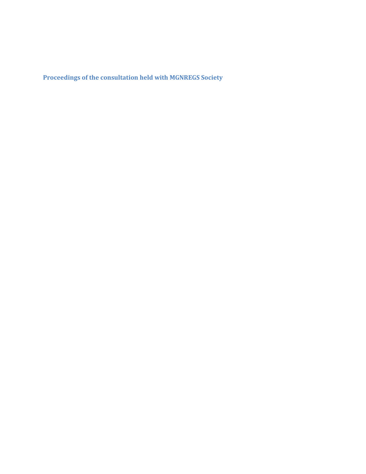**Proceedings of the consultation held with MGNREGS Society**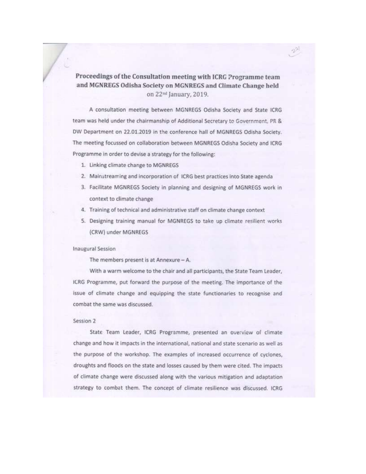Proceedings of the Consultation meeting with ICRG Programme team and MGNREGS Odisha Society on MGNREGS and Climate Change held on 22<sup>nd</sup> January, 2019.

A consultation meeting between MGNREGS Odisha Society and State ICRG team was held under the chairmanship of Additional Secretary to Government, PR & DW Department on 22.01.2019 in the conference hall of MGNREGS Odisha Society. The meeting focussed on collaboration between MGNREGS Odisha Society and ICRG Programme in order to devise a strategy for the following:

- 1. Linking climate change to MGNREGS
- 2. Mainstreaming and incorporation of ICRG best practices into State agenda
- 3. Facilitate MGNREGS Society in planning and designing of MGNREGS work in context to climate change
- 4. Training of technical and administrative staff on climate change context
- 5. Designing training manual for MGNREGS to take up climate resilient works (CRW) under MGNREGS

#### **Inaugural Session**

The members present is at Annexure - A.

With a warm welcome to the chair and all participants, the State Team Leader, ICRG Programme, put forward the purpose of the meeting. The importance of the issue of climate change and equipping the state functionaries to recognise and combat the same was discussed.

#### Session 2

State Team Leader, ICRG Programme, presented an overview of climate change and how it impacts in the international, national and state scenario as well as the purpose of the workshop. The examples of increased occurrence of cyclones, droughts and floods on the state and losses caused by them were cited. The impacts of climate change were discussed along with the various mitigation and adaptation strategy to combat them. The concept of climate resilience was discussed. ICRG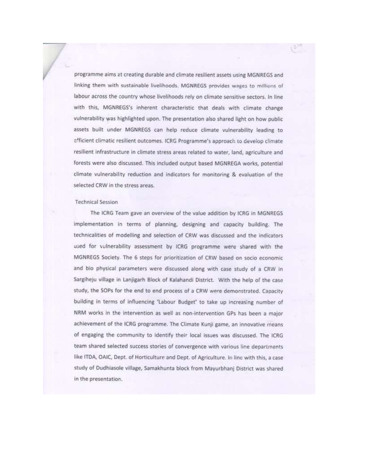programme aims at creating durable and climate resilient assets using MGNREGS and linking them with sustainable livelihoods. MGNREGS provides wages to millions of labour across the country whose livelihoods rely on climate sensitive sectors. In line with this, MGNREGS's inherent characteristic that deals with climate change vulnerability was highlighted upon. The presentation also shared light on how public assets built under MGNREGS can help reduce climate vulnerability leading to efficient climatic resilient outcomes. ICRG Programme's approach to develop climate resilient infrastructure in climate stress areas related to water, land, agriculture and forests were also discussed. This included output based MGNREGA works, potential climate vulnerability reduction and indicators for monitoring & evaluation of the selected CRW in the stress areas.

#### **Technical Session**

The ICRG Team gave an overview of the value addition by ICRG in MGNREGS implementation in terms of planning, designing and capacity building. The technicalities of modelling and selection of CRW was discussed and the indicators used for vulnerability assessment by ICRG programme were shared with the MGNREGS Society. The 6 steps for prioritization of CRW based on socio economic and bio physical parameters were discussed along with case study of a CRW in Sargiheju village in Lanjigarh Block of Kalahandi District. With the help of the case study, the SOPs for the end to end process of a CRW were demonstrated. Capacity building in terms of influencing 'Labour Budget' to take up increasing number of NRM works in the intervention as well as non-intervention GPs has been a major achievement of the ICRG programme. The Climate Kunji game, an innovative means of engaging the community to identify their local issues was discussed. The ICRG team shared selected success stories of convergence with various line departments like ITDA, OAIC, Dept. of Horticulture and Dept. of Agriculture. In line with this, a case study of Dudhiasole village, Samakhunta block from Mayurbhanj District was shared in the presentation.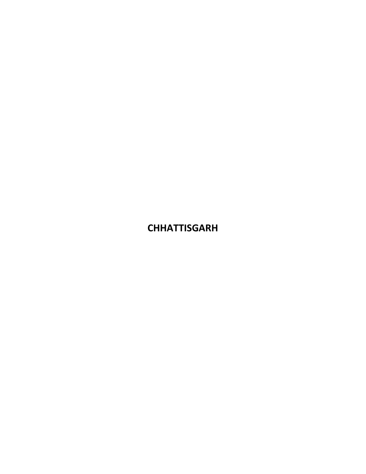**CHHATTISGARH**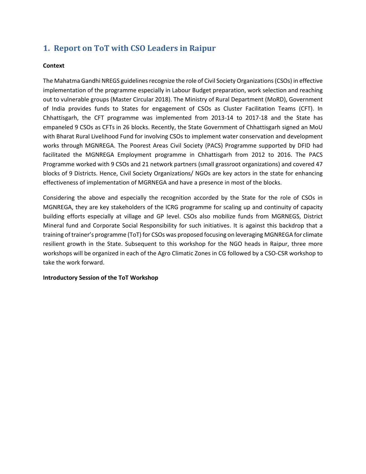# **1. Report on ToT with CSO Leaders in Raipur**

### **Context**

The Mahatma Gandhi NREGS guidelines recognize the role of Civil Society Organizations (CSOs) in effective implementation of the programme especially in Labour Budget preparation, work selection and reaching out to vulnerable groups (Master Circular 2018). The Ministry of Rural Department (MoRD), Government of India provides funds to States for engagement of CSOs as Cluster Facilitation Teams (CFT). In Chhattisgarh, the CFT programme was implemented from 2013-14 to 2017-18 and the State has empaneled 9 CSOs as CFTs in 26 blocks. Recently, the State Government of Chhattisgarh signed an MoU with Bharat Rural Livelihood Fund for involving CSOs to implement water conservation and development works through MGNREGA. The Poorest Areas Civil Society (PACS) Programme supported by DFID had facilitated the MGNREGA Employment programme in Chhattisgarh from 2012 to 2016. The PACS Programme worked with 9 CSOs and 21 network partners (small grassroot organizations) and covered 47 blocks of 9 Districts. Hence, Civil Society Organizations/ NGOs are key actors in the state for enhancing effectiveness of implementation of MGRNEGA and have a presence in most of the blocks.

Considering the above and especially the recognition accorded by the State for the role of CSOs in MGNREGA, they are key stakeholders of the ICRG programme for scaling up and continuity of capacity building efforts especially at village and GP level. CSOs also mobilize funds from MGRNEGS, District Mineral fund and Corporate Social Responsibility for such initiatives. It is against this backdrop that a training of trainer's programme (ToT) for CSOs was proposed focusing on leveraging MGNREGA for climate resilient growth in the State. Subsequent to this workshop for the NGO heads in Raipur, three more workshops will be organized in each of the Agro Climatic Zones in CG followed by a CSO-CSR workshop to take the work forward.

### **Introductory Session of the ToT Workshop**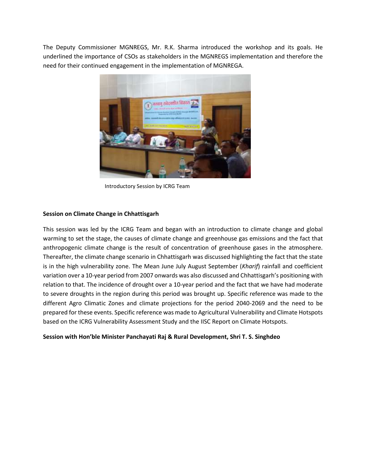The Deputy Commissioner MGNREGS, Mr. R.K. Sharma introduced the workshop and its goals. He underlined the importance of CSOs as stakeholders in the MGNREGS implementation and therefore the need for their continued engagement in the implementation of MGNREGA.



Introductory Session by ICRG Team

### **Session on Climate Change in Chhattisgarh**

This session was led by the ICRG Team and began with an introduction to climate change and global warming to set the stage, the causes of climate change and greenhouse gas emissions and the fact that anthropogenic climate change is the result of concentration of greenhouse gases in the atmosphere. Thereafter, the climate change scenario in Chhattisgarh was discussed highlighting the fact that the state is in the high vulnerability zone. The Mean June July August September (*Kharif*) rainfall and coefficient variation over a 10-year period from 2007 onwards was also discussed and Chhattisgarh's positioning with relation to that. The incidence of drought over a 10-year period and the fact that we have had moderate to severe droughts in the region during this period was brought up. Specific reference was made to the different Agro Climatic Zones and climate projections for the period 2040-2069 and the need to be prepared for these events. Specific reference was made to Agricultural Vulnerability and Climate Hotspots based on the ICRG Vulnerability Assessment Study and the IISC Report on Climate Hotspots.

**Session with Hon'ble Minister Panchayati Raj & Rural Development, Shri T. S. Singhdeo**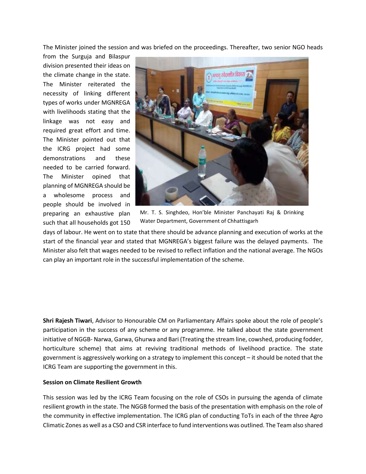The Minister joined the session and was briefed on the proceedings. Thereafter, two senior NGO heads

from the Surguja and Bilaspur division presented their ideas on the climate change in the state. The Minister reiterated the necessity of linking different types of works under MGNREGA with livelihoods stating that the linkage was not easy and required great effort and time. The Minister pointed out that the ICRG project had some demonstrations and these needed to be carried forward. The Minister opined that planning of MGNREGA should be a wholesome process and people should be involved in preparing an exhaustive plan such that all households got 150



Mr. T. S. Singhdeo, Hon'ble Minister Panchayati Raj & Drinking Water Department, Government of Chhattisgarh

days of labour. He went on to state that there should be advance planning and execution of works at the start of the financial year and stated that MGNREGA's biggest failure was the delayed payments. The Minister also felt that wages needed to be revised to reflect inflation and the national average. The NGOs can play an important role in the successful implementation of the scheme.

**Shri Rajesh Tiwari**, Advisor to Honourable CM on Parliamentary Affairs spoke about the role of people's participation in the success of any scheme or any programme. He talked about the state government initiative of NGGB- Narwa, Garwa, Ghurwa and Bari (Treating the stream line, cowshed, producing fodder, horticulture scheme) that aims at reviving traditional methods of livelihood practice. The state government is aggressively working on a strategy to implement this concept – it should be noted that the ICRG Team are supporting the government in this.

### **Session on Climate Resilient Growth**

This session was led by the ICRG Team focusing on the role of CSOs in pursuing the agenda of climate resilient growth in the state. The NGGB formed the basis of the presentation with emphasis on the role of the community in effective implementation. The ICRG plan of conducting ToTs in each of the three Agro Climatic Zones as well as a CSO and CSR interface to fund interventions was outlined. The Team also shared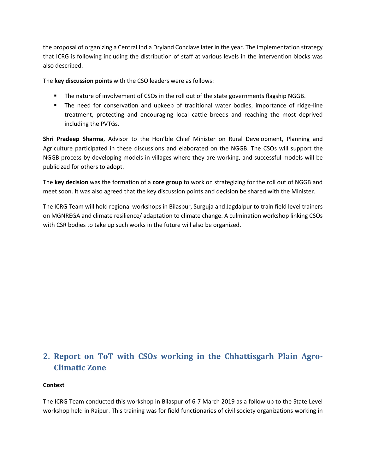the proposal of organizing a Central India Dryland Conclave later in the year. The implementation strategy that ICRG is following including the distribution of staff at various levels in the intervention blocks was also described.

The **key discussion points** with the CSO leaders were as follows:

- The nature of involvement of CSOs in the roll out of the state governments flagship NGGB.
- **■** The need for conservation and upkeep of traditional water bodies, importance of ridge-line treatment, protecting and encouraging local cattle breeds and reaching the most deprived including the PVTGs.

**Shri Pradeep Sharma**, Advisor to the Hon'ble Chief Minister on Rural Development, Planning and Agriculture participated in these discussions and elaborated on the NGGB. The CSOs will support the NGGB process by developing models in villages where they are working, and successful models will be publicized for others to adopt.

The **key decision** was the formation of a **core group** to work on strategizing for the roll out of NGGB and meet soon. It was also agreed that the key discussion points and decision be shared with the Minister.

The ICRG Team will hold regional workshops in Bilaspur, Surguja and Jagdalpur to train field level trainers on MGNREGA and climate resilience/ adaptation to climate change. A culmination workshop linking CSOs with CSR bodies to take up such works in the future will also be organized.

# **2. Report on ToT with CSOs working in the Chhattisgarh Plain Agro-Climatic Zone**

### **Context**

The ICRG Team conducted this workshop in Bilaspur of 6-7 March 2019 as a follow up to the State Level workshop held in Raipur. This training was for field functionaries of civil society organizations working in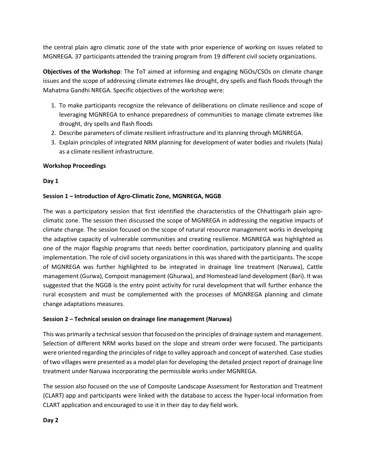the central plain agro climatic zone of the state with prior experience of working on issues related to MGNREGA. 37 participants attended the training program from 19 different civil society organizations.

**Objectives of the Workshop**: The ToT aimed at informing and engaging NGOs/CSOs on climate change issues and the scope of addressing climate extremes like drought, dry spells and flash floods through the Mahatma Gandhi NREGA. Specific objectives of the workshop were:

- 1. To make participants recognize the relevance of deliberations on climate resilience and scope of leveraging MGNREGA to enhance preparedness of communities to manage climate extremes like drought, dry spells and flash floods
- 2. Describe parameters of climate resilient infrastructure and its planning through MGNREGA.
- 3. Explain principles of integrated NRM planning for development of water bodies and rivulets (Nala) as a climate resilient infrastructure.

### **Workshop Proceedings**

### **Day 1**

### **Session 1 – Introduction of Agro-Climatic Zone, MGNREGA, NGGB**

The was a participatory session that first identified the characteristics of the Chhattisgarh plain agroclimatic zone. The session then discussed the scope of MGNREGA in addressing the negative impacts of climate change. The session focused on the scope of natural resource management works in developing the adaptive capacity of vulnerable communities and creating resilience. MGNREGA was highlighted as one of the major flagship programs that needs better coordination, participatory planning and quality implementation. The role of civil society organizations in this was shared with the participants. The scope of MGNREGA was further highlighted to be integrated in drainage line treatment (Naruwa), Cattle management (Gurwa), Compost management (Ghurwa), and Homestead land development (Bari). It was suggested that the NGGB is the entry point activity for rural development that will further enhance the rural ecosystem and must be complemented with the processes of MGNREGA planning and climate change adaptations measures.

### **Session 2 – Technical session on drainage line management (Naruwa)**

This was primarily a technical session that focused on the principles of drainage system and management. Selection of different NRM works based on the slope and stream order were focused. The participants were oriented regarding the principles of ridge to valley approach and concept of watershed. Case studies of two villages were presented as a model plan for developing the detailed project report of drainage line treatment under Naruwa incorporating the permissible works under MGNREGA.

The session also focused on the use of Composite Landscape Assessment for Restoration and Treatment (CLART) app and participants were linked with the database to access the hyper-local information from CLART application and encouraged to use it in their day to day field work.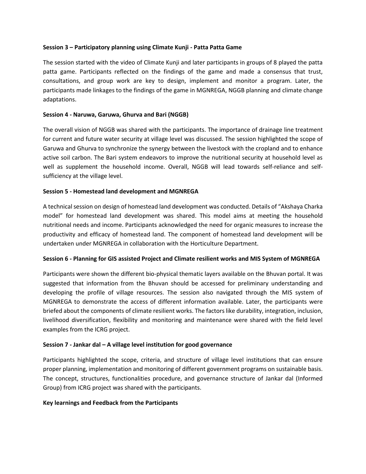### **Session 3 – Participatory planning using Climate Kunji - Patta Patta Game**

The session started with the video of Climate Kunji and later participants in groups of 8 played the patta patta game. Participants reflected on the findings of the game and made a consensus that trust, consultations, and group work are key to design, implement and monitor a program. Later, the participants made linkages to the findings of the game in MGNREGA, NGGB planning and climate change adaptations.

### **Session 4 - Naruwa, Garuwa, Ghurva and Bari (NGGB)**

The overall vision of NGGB was shared with the participants. The importance of drainage line treatment for current and future water security at village level was discussed. The session highlighted the scope of Garuwa and Ghurva to synchronize the synergy between the livestock with the cropland and to enhance active soil carbon. The Bari system endeavors to improve the nutritional security at household level as well as supplement the household income. Overall, NGGB will lead towards self-reliance and selfsufficiency at the village level.

### **Session 5 - Homestead land development and MGNREGA**

A technical session on design of homestead land development was conducted. Details of "Akshaya Charka model" for homestead land development was shared. This model aims at meeting the household nutritional needs and income. Participants acknowledged the need for organic measures to increase the productivity and efficacy of homestead land. The component of homestead land development will be undertaken under MGNREGA in collaboration with the Horticulture Department.

### **Session 6 - Planning for GIS assisted Project and Climate resilient works and MIS System of MGNREGA**

Participants were shown the different bio-physical thematic layers available on the Bhuvan portal. It was suggested that information from the Bhuvan should be accessed for preliminary understanding and developing the profile of village resources. The session also navigated through the MIS system of MGNREGA to demonstrate the access of different information available. Later, the participants were briefed about the components of climate resilient works. The factors like durability, integration, inclusion, livelihood diversification, flexibility and monitoring and maintenance were shared with the field level examples from the ICRG project.

### **Session 7 - Jankar dal – A village level institution for good governance**

Participants highlighted the scope, criteria, and structure of village level institutions that can ensure proper planning, implementation and monitoring of different government programs on sustainable basis. The concept, structures, functionalities procedure, and governance structure of Jankar dal (Informed Group) from ICRG project was shared with the participants.

#### **Key learnings and Feedback from the Participants**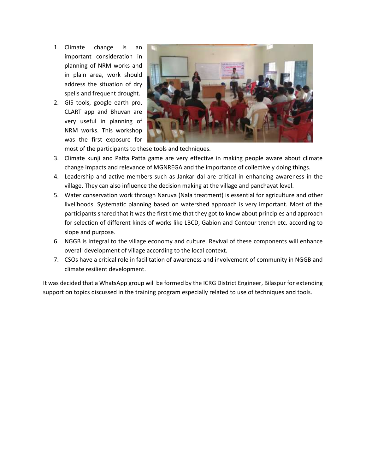- 1. Climate change is an important consideration in planning of NRM works and in plain area, work should address the situation of dry spells and frequent drought.
- 2. GIS tools, google earth pro, CLART app and Bhuvan are very useful in planning of NRM works. This workshop was the first exposure for



most of the participants to these tools and techniques.

- 3. Climate kunji and Patta Patta game are very effective in making people aware about climate change impacts and relevance of MGNREGA and the importance of collectively doing things.
- 4. Leadership and active members such as Jankar dal are critical in enhancing awareness in the village. They can also influence the decision making at the village and panchayat level.
- 5. Water conservation work through Naruva (Nala treatment) is essential for agriculture and other livelihoods. Systematic planning based on watershed approach is very important. Most of the participants shared that it was the first time that they got to know about principles and approach for selection of different kinds of works like LBCD, Gabion and Contour trench etc. according to slope and purpose.
- 6. NGGB is integral to the village economy and culture. Revival of these components will enhance overall development of village according to the local context.
- 7. CSOs have a critical role in facilitation of awareness and involvement of community in NGGB and climate resilient development.

It was decided that a WhatsApp group will be formed by the ICRG District Engineer, Bilaspur for extending support on topics discussed in the training program especially related to use of techniques and tools.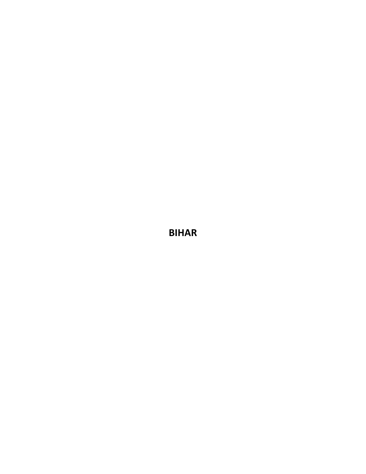**BIHAR**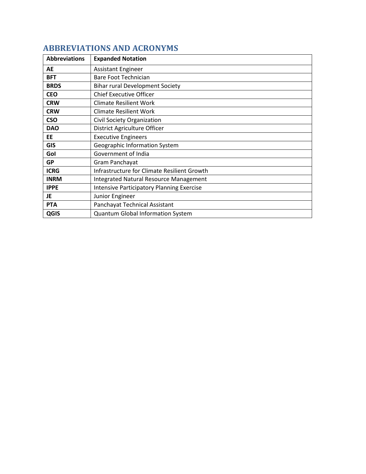| <b>Abbreviations</b> | <b>Expanded Notation</b>                         |
|----------------------|--------------------------------------------------|
| AE                   | <b>Assistant Engineer</b>                        |
| <b>BFT</b>           | <b>Bare Foot Technician</b>                      |
| <b>BRDS</b>          | <b>Bihar rural Development Society</b>           |
| <b>CEO</b>           | <b>Chief Executive Officer</b>                   |
| <b>CRW</b>           | <b>Climate Resilient Work</b>                    |
| <b>CRW</b>           | <b>Climate Resilient Work</b>                    |
| <b>CSO</b>           | Civil Society Organization                       |
| <b>DAO</b>           | District Agriculture Officer                     |
| EE                   | <b>Executive Engineers</b>                       |
| <b>GIS</b>           | Geographic Information System                    |
| Gol                  | Government of India                              |
| <b>GP</b>            | Gram Panchayat                                   |
| <b>ICRG</b>          | Infrastructure for Climate Resilient Growth      |
| <b>INRM</b>          | <b>Integrated Natural Resource Management</b>    |
| <b>IPPE</b>          | <b>Intensive Participatory Planning Exercise</b> |
| JE                   | Junior Engineer                                  |
| <b>PTA</b>           | Panchayat Technical Assistant                    |
| QGIS                 | <b>Quantum Global Information System</b>         |

# **ABBREVIATIONS AND ACRONYMS**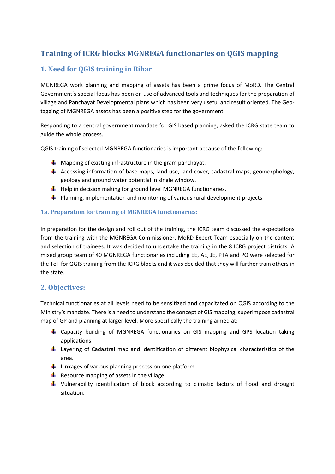# **Training of ICRG blocks MGNREGA functionaries on QGIS mapping**

## **1. Need for QGIS training in Bihar**

MGNREGA work planning and mapping of assets has been a prime focus of MoRD. The Central Government's special focus has been on use of advanced tools and techniques for the preparation of village and Panchayat Developmental plans which has been very useful and result oriented. The Geotagging of MGNREGA assets has been a positive step for the government.

Responding to a central government mandate for GIS based planning, asked the ICRG state team to guide the whole process.

QGIS training of selected MGNREGA functionaries is important because of the following:

- $\frac{1}{\sqrt{2}}$  Mapping of existing infrastructure in the gram panchayat.
- $\ddot{+}$  Accessing information of base maps, land use, land cover, cadastral maps, geomorphology, geology and ground water potential in single window.
- $\downarrow$  Help in decision making for ground level MGNREGA functionaries.
- $\ddot{\phantom{1}}$  Planning, implementation and monitoring of various rural development projects.

### **1a. Preparation for training of MGNREGA functionaries:**

In preparation for the design and roll out of the training, the ICRG team discussed the expectations from the training with the MGNREGA Commissioner, MoRD Expert Team especially on the content and selection of trainees. It was decided to undertake the training in the 8 ICRG project districts. A mixed group team of 40 MGNREGA functionaries including EE, AE, JE, PTA and PO were selected for the ToT for QGIS training from the ICRG blocks and it was decided that they will further train others in the state.

### **2. Objectives:**

Technical functionaries at all levels need to be sensitized and capacitated on QGIS according to the Ministry's mandate. There is a need to understand the concept of GIS mapping, superimpose cadastral map of GP and planning at larger level. More specifically the training aimed at:

- Capacity building of MGNREGA functionaries on GIS mapping and GPS location taking applications.
- $\ddot{+}$  Layering of Cadastral map and identification of different biophysical characteristics of the area.
- $\downarrow$  Linkages of various planning process on one platform.
- Resource mapping of assets in the village.
- Vulnerability identification of block according to climatic factors of flood and drought situation.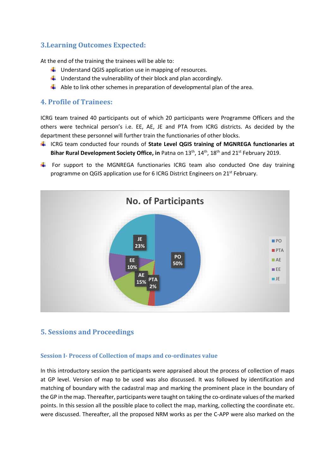### **3.Learning Outcomes Expected:**

At the end of the training the trainees will be able to:

- $\downarrow$  Understand QGIS application use in mapping of resources.
- $\downarrow$  Understand the vulnerability of their block and plan accordingly.
- $\downarrow$  Able to link other schemes in preparation of developmental plan of the area.

### **4. Profile of Trainees:**

ICRG team trained 40 participants out of which 20 participants were Programme Officers and the others were technical person's i.e. EE, AE, JE and PTA from ICRG districts. As decided by the department these personnel will further train the functionaries of other blocks.

- ICRG team conducted four rounds of **State Level QGIS training of MGNREGA functionaries at Bihar Rural Development Society Office, in** Patna on 13th, 14th, 18th and 21st February 2019.
- $\uparrow$  For support to the MGNREGA functionaries ICRG team also conducted One day training programme on QGIS application use for 6 ICRG District Engineers on 21<sup>st</sup> February.



### **5. Sessions and Proceedings**

### **Session I- Process of Collection of maps and co-ordinates value**

In this introductory session the participants were appraised about the process of collection of maps at GP level. Version of map to be used was also discussed. It was followed by identification and matching of boundary with the cadastral map and marking the prominent place in the boundary of the GP in the map. Thereafter, participants were taught on taking the co-ordinate values of the marked points. In this session all the possible place to collect the map, marking, collecting the coordinate etc. were discussed. Thereafter, all the proposed NRM works as per the C-APP were also marked on the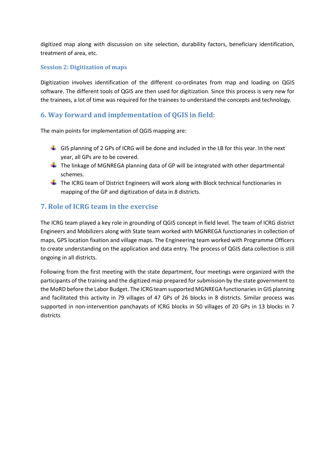digitized map along with discussion on site selection, durability factors, beneficiary identification, treatment of area, etc.

### **Session 2: Digitization of maps**

Digitization involves identification of the different co-ordinates from map and loading on QGIS software. The different tools of QGIS are then used for digitization. Since this process is very new for the trainees, a lot of time was required for the trainees to understand the concepts and technology.

## **6. Way forward and implementation of QGIS in field:**

The main points for implementation of QGIS mapping are:

- $\downarrow$  GIS planning of 2 GPs of ICRG will be done and included in the LB for this year. In the next year, all GPs are to be covered.
- $\leftarrow$  The linkage of MGNREGA planning data of GP will be integrated with other departmental schemes.
- $\downarrow$  The ICRG team of District Engineers will work along with Block technical functionaries in mapping of the GP and digitization of data in 8 districts.

### **7. Role of ICRG team in the exercise**

The ICRG team played a key role in grounding of QGIS concept in field level. The team of ICRG district Engineers and Mobilizers along with State team worked with MGNREGA functionaries in collection of maps, GPS location fixation and village maps. The Engineering team worked with Programme Officers to create understanding on the application and data entry. The process of QGIS data collection is still ongoing in all districts.

Following from the first meeting with the state department, four meetings were organized with the participants of the training and the digitized map prepared for submission by the state government to the MoRD before the Labor Budget. The ICRG team supported MGNREGA functionaries in GIS planning and facilitated this activity in 79 villages of 47 GPs of 26 blocks in 8 districts. Similar process was supported in non-intervention panchayats of ICRG blocks in 50 villages of 20 GPs in 13 blocks in 7 districts